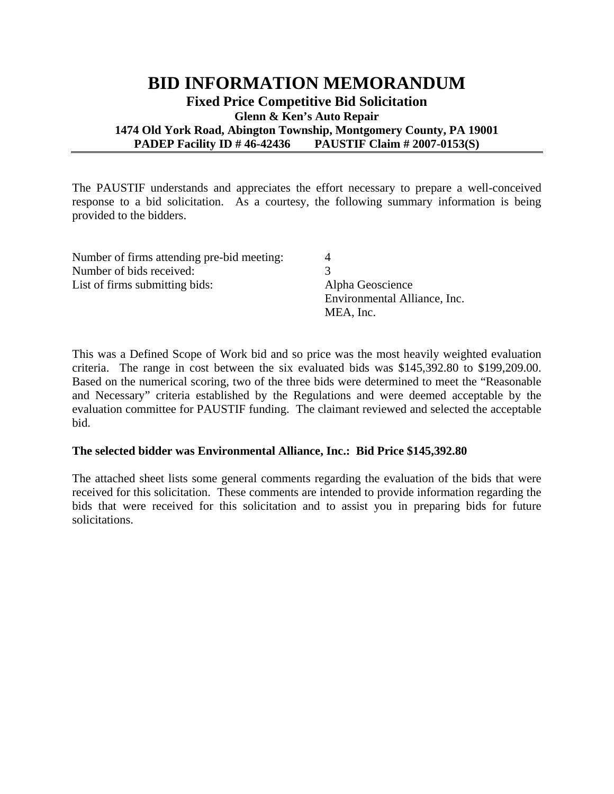## **BID INFORMATION MEMORANDUM Fixed Price Competitive Bid Solicitation Glenn & Ken's Auto Repair 1474 Old York Road, Abington Township, Montgomery County, PA 19001 PADEP Facility ID # 46-42436 PAUSTIF Claim # 2007-0153(S)**

The PAUSTIF understands and appreciates the effort necessary to prepare a well-conceived response to a bid solicitation. As a courtesy, the following summary information is being provided to the bidders.

| Number of firms attending pre-bid meeting: |                              |
|--------------------------------------------|------------------------------|
| Number of bids received:                   |                              |
| List of firms submitting bids:             | Alpha Geoscience             |
|                                            | Environmental Alliance, Inc. |
|                                            | MEA, Inc.                    |

This was a Defined Scope of Work bid and so price was the most heavily weighted evaluation criteria. The range in cost between the six evaluated bids was \$145,392.80 to \$199,209.00. Based on the numerical scoring, two of the three bids were determined to meet the "Reasonable and Necessary" criteria established by the Regulations and were deemed acceptable by the evaluation committee for PAUSTIF funding. The claimant reviewed and selected the acceptable bid.

## **The selected bidder was Environmental Alliance, Inc.: Bid Price \$145,392.80**

The attached sheet lists some general comments regarding the evaluation of the bids that were received for this solicitation. These comments are intended to provide information regarding the bids that were received for this solicitation and to assist you in preparing bids for future solicitations.